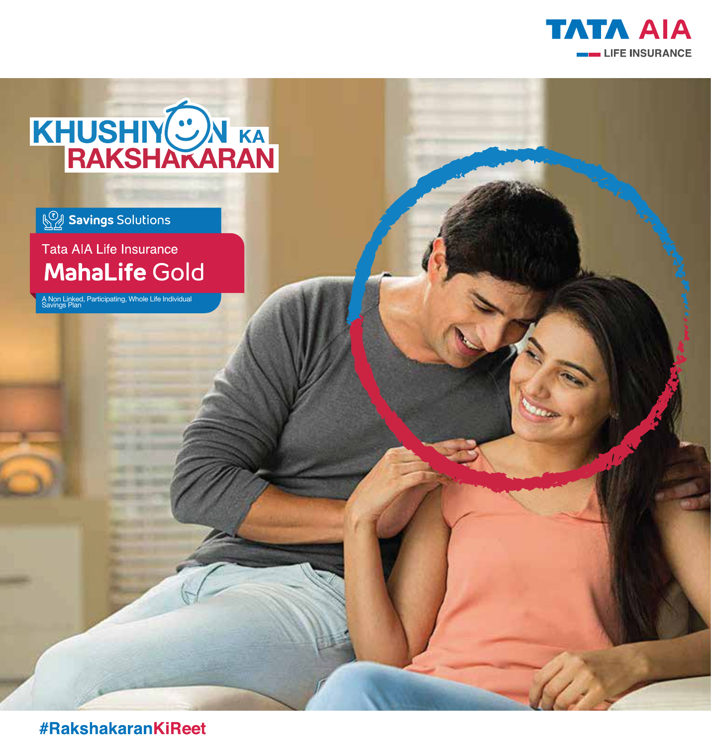

# KHUSHIY<sup>(O)</sup>N KA<br>RAKSHAKARAN

# **Savings Solutions**

Tata AIA Life Insurance **MahaLife Gold** 

A Non Linked, Participating, Whole Life Individual Savings Plan

#RakshakaranKiReet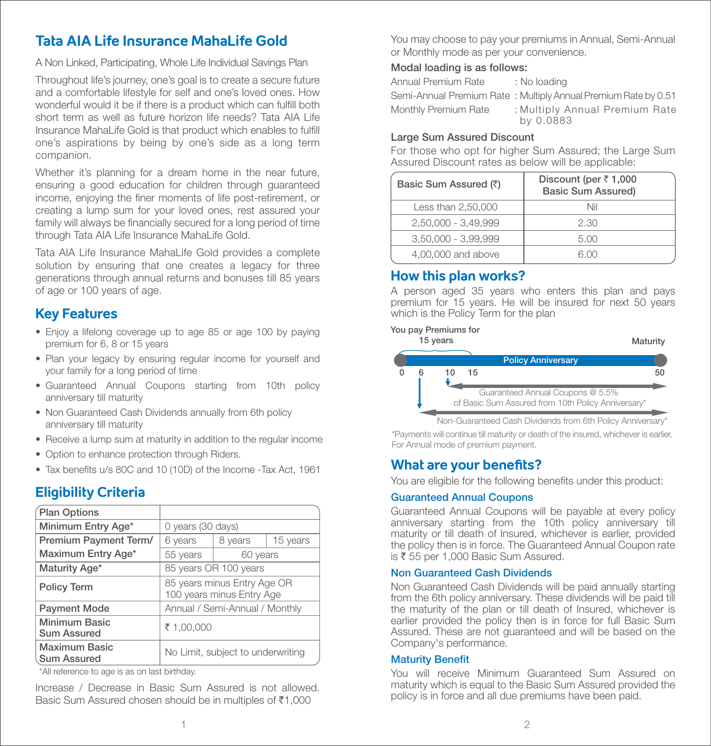# **Tata AIA Life Insurance MahaLife Gold**

A Non Linked, Participating, Whole Life Individual Savings Plan

Throughout life's journey, one's goal is to create a secure future and a comfortable lifestyle for self and one's loved ones. How wonderful would it be if there is a product which can fulfill both short term as well as future horizon life needs? Tata AIA Life Insurance MahaLife Gold is that product which enables to fulfill one's aspirations by being by one's side as a long term companion.

Whether it's planning for a dream home in the near future, ensuring a good education for children through guaranteed income, enjoving the finer moments of life post-retirement, or creating a lump sum for your loved ones, rest assured your family will always be financially secured for a long period of time through Tata AIA Life Insurance MahaLife Gold.

Tata AIA Life Insurance MahaLife Gold provides a complete solution by ensuring that one creates a legacy for three generations through annual returns and bonuses till 85 years of age or 100 years of age.

# **Key Features**

- Enjoy a lifelong coverage up to age 85 or age 100 by paying premium for 6, 8 or 15 years
- Plan your legacy by ensuring regular income for yourself and your family for a long period of time
- Guaranteed Annual Coupons starting from 10th policy anniversary till maturity
- Non Guaranteed Cash Dividends annually from 6th policy anniversary till maturity
- Receive a lump sum at maturity in addition to the regular income
- Option to enhance protection through Riders.
- Tax benefits u/s 80C and 10 (10D) of the Income -Tax Act, 1961

# **Eligibility Criteria**

| <b>Plan Options</b>                        |                                                          |         |          |  |  |
|--------------------------------------------|----------------------------------------------------------|---------|----------|--|--|
| Minimum Entry Age*                         | 0 years (30 days)                                        |         |          |  |  |
| Premium Payment Term/                      | 6 years                                                  | 8 years | 15 years |  |  |
| Maximum Entry Age*                         | 55 years                                                 |         | 60 years |  |  |
| Maturity Age*                              | 85 years OR 100 years                                    |         |          |  |  |
| Policy Term                                | 85 years minus Entry Age OR<br>100 years minus Entry Age |         |          |  |  |
| <b>Payment Mode</b>                        | Annual / Semi-Annual / Monthly                           |         |          |  |  |
| Minimum Basic<br><b>Sum Assured</b>        | ₹ 1,00,000                                               |         |          |  |  |
| <b>Maximum Basic</b><br><b>Sum Assured</b> | No Limit, subject to underwriting                        |         |          |  |  |

\*All reference to age is as on last birthday.

Increase / Decrease in Basic Sum Assured is not allowed. Basic Sum Assured chosen should be in multiples of ₹1,000

You may choose to pay your premiums in Annual, Semi-Annual or Monthly mode as per your convenience.

### Modal loading is as follows:

Annual Premium Rate : No loading

Semi-Annual Premium Rate : Multiply Annual Premium Rate by 0.51 Monthly Premium Rate : Multiply Annual Premium Rate by 0.0883

### Large Sum Assured Discount

For those who opt for higher Sum Assured; the Large Sum Assured Discount rates as below will be applicable:

| Basic Sum Assured (₹) | Discount (per $\overline{z}$ 1,000<br><b>Basic Sum Assured)</b> |  |  |
|-----------------------|-----------------------------------------------------------------|--|--|
| Less than 2,50,000    | Nil                                                             |  |  |
| 2,50,000 - 3,49,999   | 2.30                                                            |  |  |
| 3,50,000 - 3,99,999   | 5.00                                                            |  |  |
| 4,00,000 and above    | 6 N N                                                           |  |  |

# **How this plan works?**

A person aged 35 years who enters this plan and pays premium for 15 years. He will be insured for next 50 years which is the Policy Term for the plan

### You pay Premiums for



Non-Guaranteed Cash Dividends from 6th Policy Anniversary\*

\*Payments will continue till maturity or death of the insured, whichever is earlier. For Annual mode of premium payment.

# **What are your benefits?**

You are eligible for the following benefits under this product:

### Guaranteed Annual Coupons

Guaranteed Annual Coupons will be payable at every policy anniversary starting from the 10th policy anniversary till maturity or till death of Insured, whichever is earlier, provided the policy then is in force. The Guaranteed Annual Coupon rate is  $\overline{\xi}$  55 per 1,000 Basic Sum Assured.

### Non Guaranteed Cash Dividends

Non Guaranteed Cash Dividends will be paid annually starting from the 6th policy anniversary. These dividends will be paid till the maturity of the plan or till death of Insured, whichever is earlier provided the policy then is in force for full Basic Sum Assured. These are not guaranteed and will be based on the Company's performance.

### **Maturity Benefit**

You will receive Minimum Guaranteed Sum Assured on maturity which is equal to the Basic Sum Assured provided the policy is in force and all due premiums have been paid.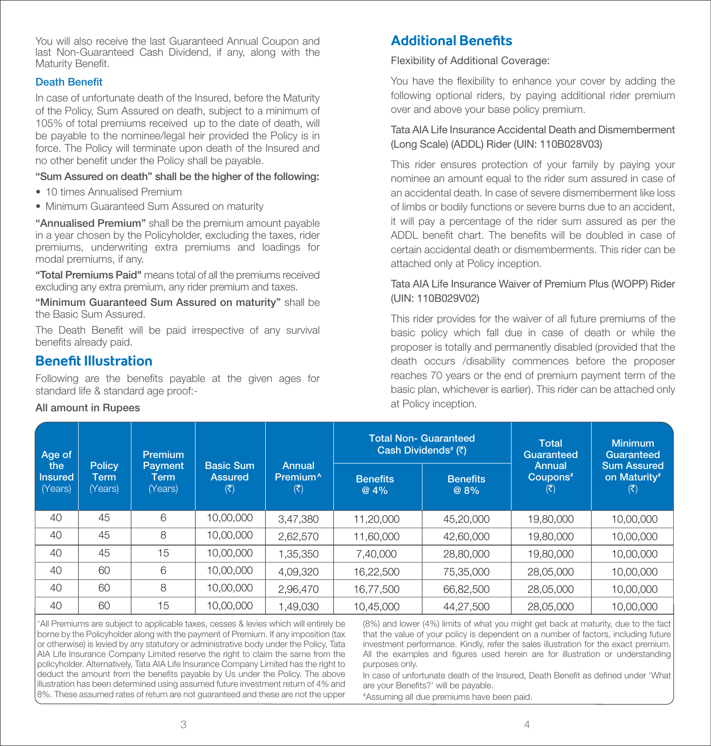You will also receive the last Guaranteed Annual Coupon and last Non-Guaranteed Cash Dividend, if any, along with the Maturity Benefit.

### Death Benefit

In case of unfortunate death of the Insured, before the Maturity of the Policy, Sum Assured on death, subject to a minimum of 105% of total premiums received up to the date of death, will be payable to the nominee/legal heir provided the Policy is in force. The Policy will terminate upon death of the Insured and no other benefit under the Policy shall be payable.

### "Sum Assured on death" shall be the higher of the following:

- 10 times Annualised Premium
- Minimum Guaranteed Sum Assured on maturity

"Annualised Premium" shall be the premium amount payable in a year chosen by the Policyholder, excluding the taxes, rider premiums, underwriting extra premiums and loadings for modal premiums, if any.

"Total Premiums Paid" means total of all the premiums received excluding any extra premium, any rider premium and taxes.

"Minimum Guaranteed Sum Assured on maturity" shall be the Basic Sum Assured.

The Death Benefit will be paid irrespective of any survival benefits already paid.

## **Benefit Illustration**

Following are the benefits payable at the given ages for standard life & standard age proof:-

### All amount in Rupees

# **Additional Benefits**

Flexibility of Additional Coverage:

You have the flexibility to enhance your cover by adding the following optional riders, by paying additional rider premium over and above your base policy premium.

### Tata AIA Life Insurance Accidental Death and Dismemberment (Long Scale) (ADDL) Rider (UIN: 110B028V03)

This rider ensures protection of your family by paying your nominee an amount equal to the rider sum assured in case of an accidental death. In case of severe dismemberment like loss of limbs or bodily functions or severe burns due to an accident, it will pay a percentage of the rider sum assured as per the ADDL benefit chart. The benefits will be doubled in case of certain accidental death or dismemberments. This rider can be attached only at Policy inception.

### Tata AIA Life Insurance Waiver of Premium Plus (WOPP) Rider (UIN: 110B029V02)

This rider provides for the waiver of all future premiums of the basic policy which fall due in case of death or while the proposer is totally and permanently disabled (provided that the death occurs /disability commences before the proposer reaches 70 years or the end of premium payment term of the basic plan, whichever is earlier). This rider can be attached only at Policy inception.

| Age of<br>the<br><b>Insured</b><br>(Years) | <b>Policy</b><br>Term<br>(Years) | Premium<br><b>Payment</b><br>Term<br>(Years) | <b>Basic Sum</b><br><b>Assured</b><br>$(\overline{\mathbf{z}})$ | Annual<br>Premium <sup>^</sup><br>$(\overline{\mathbf{x}})$ | <b>Total Non- Guaranteed</b><br>Cash Dividends <sup>#</sup> (₹) |                         | <b>Total</b><br>Guaranteed                             | <b>Minimum</b><br>Guaranteed              |
|--------------------------------------------|----------------------------------|----------------------------------------------|-----------------------------------------------------------------|-------------------------------------------------------------|-----------------------------------------------------------------|-------------------------|--------------------------------------------------------|-------------------------------------------|
|                                            |                                  |                                              |                                                                 |                                                             | <b>Benefits</b><br>@4%                                          | <b>Benefits</b><br>@ 8% | Annual<br>Coupons <sup>#</sup><br>$(\bar{\mathbf{z}})$ | <b>Sum Assured</b><br>on Maturity#<br>(₹) |
| 40                                         | 45                               | 6                                            | 10,00,000                                                       | 3,47,380                                                    | 11.20.000                                                       | 45,20,000               | 19,80,000                                              | 10.00.000                                 |
| 40                                         | 45                               | 8                                            | 10,00,000                                                       | 2.62.570                                                    | 11,60,000                                                       | 42,60,000               | 19,80,000                                              | 10,00,000                                 |
| 40                                         | 45                               | 15                                           | 10,00,000                                                       | 1,35,350                                                    | 7,40,000                                                        | 28,80,000               | 19,80,000                                              | 10,00,000                                 |
| 40                                         | 60                               | 6                                            | 10,00,000                                                       | 4.09.320                                                    | 16.22.500                                                       | 75,35,000               | 28,05,000                                              | 10.00.000                                 |
| 40                                         | 60                               | 8                                            | 10,00,000                                                       | 2.96.470                                                    | 16.77.500                                                       | 66.82.500               | 28,05,000                                              | 10.00.000                                 |
| 40                                         | 60                               | 15                                           | 10,00,000                                                       | 1,49,030                                                    | 10,45,000                                                       | 44,27,500               | 28,05,000                                              | 10,00,000                                 |

^All Premiums are subject to applicable taxes, cesses & levies which will entirely be borne by the Policyholder along with the payment of Premium. If any imposition (tax or otherwise) is levied by any statutory or administrative body under the Policy, Tata AIA Life Insurance Company Limited reserve the right to claim the same from the policyholder. Alternatively, Tata AIA Life Insurance Company Limited has the right to deduct the amount from the benefits payable by Us under the Policy. The above illustration has been determined using assumed future investment return of 4% and 8%. These assumed rates of return are not guaranteed and these are not the upper

(8%) and lower (4%) limits of what you might get back at maturity, due to the fact that the value of your policy is dependent on a number of factors, including future investment performance. Kindly, refer the sales illustration for the exact premium. All the examples and figures used herein are for illustration or understanding purposes only.

In case of unfortunate death of the Insured, Death Benefit as defined under 'What are your Benefits?' will be payable.

# Assuming all due premiums have been paid.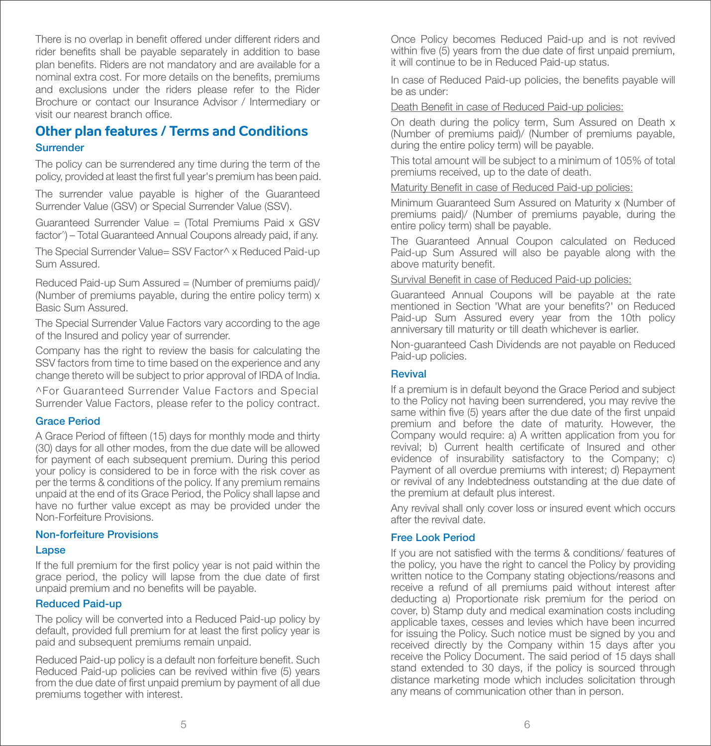There is no overlap in benefit offered under different riders and rider benefits shall be payable separately in addition to base plan benefits. Riders are not mandatory and are available for a nominal extra cost. For more details on the benefits, premiums and exclusions under the riders please refer to the Rider Brochure or contact our Insurance Advisor / Intermediary or visit our nearest branch office

# **Other plan features / Terms and Conditions** Surrender

The policy can be surrendered any time during the term of the policy, provided at least the first full year's premium has been paid.

The surrender value payable is higher of the Guaranteed Surrender Value (GSV) or Special Surrender Value (SSV).

Guaranteed Surrender Value = (Total Premiums Paid x GSV factor^) – Total Guaranteed Annual Coupons already paid, if any.

The Special Surrender Value= SSV Factor^ x Reduced Paid-up Sum Assured.

Reduced Paid-up Sum Assured = (Number of premiums paid)/ (Number of premiums payable, during the entire policy term) x Basic Sum Assured.

The Special Surrender Value Factors vary according to the age of the Insured and policy year of surrender.

Company has the right to review the basis for calculating the SSV factors from time to time based on the experience and any change thereto will be subject to prior approval of IRDA of India.

^For Guaranteed Surrender Value Factors and Special Surrender Value Factors, please refer to the policy contract.

### Grace Period

A Grace Period of fifteen (15) days for monthly mode and thirty (30) days for all other modes, from the due date will be allowed for payment of each subsequent premium. During this period your policy is considered to be in force with the risk cover as per the terms & conditions of the policy. If any premium remains unpaid at the end of its Grace Period, the Policy shall lapse and have no further value except as may be provided under the Non-Forfeiture Provisions.

### Non-forfeiture Provisions

### Lapse

If the full premium for the first policy year is not paid within the grace period, the policy will lapse from the due date of first unpaid premium and no benefits will be payable.

### Reduced Paid-up

The policy will be converted into a Reduced Paid-up policy by default, provided full premium for at least the first policy year is paid and subsequent premiums remain unpaid.

Reduced Paid-up policy is a default non forfeiture benefit. Such Reduced Paid-up policies can be revived within five (5) years from the due date of first unpaid premium by payment of all due premiums together with interest.

Once Policy becomes Reduced Paid-up and is not revived within five  $(5)$  years from the due date of first unpaid premium. it will continue to be in Reduced Paid-up status.

In case of Reduced Paid-up policies, the benefits payable will be as under:

Death Benefit in case of Reduced Paid-up policies:

On death during the policy term, Sum Assured on Death x (Number of premiums paid)/ (Number of premiums payable, during the entire policy term) will be payable.

This total amount will be subject to a minimum of 105% of total premiums received, up to the date of death.

### Maturity Benefit in case of Reduced Paid-up policies:

Minimum Guaranteed Sum Assured on Maturity x (Number of premiums paid)/ (Number of premiums payable, during the entire policy term) shall be payable.

The Guaranteed Annual Coupon calculated on Reduced Paid-up Sum Assured will also be payable along with the above maturity benefit.

### Survival Benefit in case of Reduced Paid-up policies:

Guaranteed Annual Coupons will be payable at the rate mentioned in Section 'What are your benefits?' on Reduced Paid-up Sum Assured every year from the 10th policy anniversary till maturity or till death whichever is earlier.

Non-guaranteed Cash Dividends are not payable on Reduced Paid-up policies.

### **Revival**

If a premium is in default beyond the Grace Period and subject to the Policy not having been surrendered, you may revive the same within five (5) years after the due date of the first unpaid premium and before the date of maturity. However, the Company would require: a) A written application from you for revival; b) Current health certificate of Insured and other evidence of insurability satisfactory to the Company; c) Payment of all overdue premiums with interest; d) Repayment or revival of any Indebtedness outstanding at the due date of the premium at default plus interest.

Any revival shall only cover loss or insured event which occurs after the revival date.

### Free Look Period

If you are not satisfied with the terms & conditions/ features of the policy, you have the right to cancel the Policy by providing written notice to the Company stating objections/reasons and receive a refund of all premiums paid without interest after deducting a) Proportionate risk premium for the period on cover, b) Stamp duty and medical examination costs including applicable taxes, cesses and levies which have been incurred for issuing the Policy. Such notice must be signed by you and received directly by the Company within 15 days after you receive the Policy Document. The said period of 15 days shall stand extended to 30 days, if the policy is sourced through distance marketing mode which includes solicitation through any means of communication other than in person.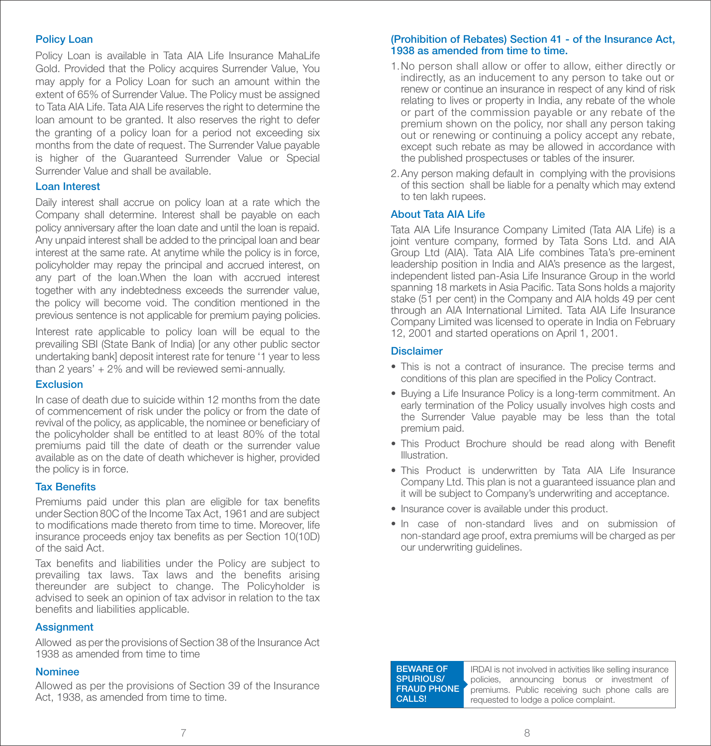### Policy Loan

Policy Loan is available in Tata AIA Life Insurance MahaLife Gold. Provided that the Policy acquires Surrender Value, You may apply for a Policy Loan for such an amount within the extent of 65% of Surrender Value. The Policy must be assigned to Tata AIA Life. Tata AIA Life reserves the right to determine the loan amount to be granted. It also reserves the right to defer the granting of a policy loan for a period not exceeding six months from the date of request. The Surrender Value payable is higher of the Guaranteed Surrender Value or Special Surrender Value and shall be available.

### Loan Interest

Daily interest shall accrue on policy loan at a rate which the Company shall determine. Interest shall be payable on each policy anniversary after the loan date and until the loan is repaid. Any unpaid interest shall be added to the principal loan and bear interest at the same rate. At anytime while the policy is in force, policyholder may repay the principal and accrued interest, on any part of the loan.When the loan with accrued interest together with any indebtedness exceeds the surrender value, the policy will become void. The condition mentioned in the previous sentence is not applicable for premium paying policies.

Interest rate applicable to policy loan will be equal to the prevailing SBI (State Bank of India) [or any other public sector undertaking bank] deposit interest rate for tenure '1 year to less than 2 years' + 2% and will be reviewed semi-annually.

### Exclusion

In case of death due to suicide within 12 months from the date of commencement of risk under the policy or from the date of revival of the policy, as applicable, the nominee or beneficiary of the policyholder shall be entitled to at least 80% of the total premiums paid till the date of death or the surrender value available as on the date of death whichever is higher, provided the policy is in force.

### **Tax Benefits**

Premiums paid under this plan are eligible for tax benefits under Section 80C of the Income Tax Act, 1961 and are subject to modifications made thereto from time to time. Moreover, life insurance proceeds enjoy tax benefits as per Section 10(10D) of the said Act.

Tax benefits and liabilities under the Policy are subject to prevailing tax laws. Tax laws and the benefits arising thereunder are subject to change. The Policyholder is advised to seek an opinion of tax advisor in relation to the tax benefits and liabilities applicable.

### **Assignment**

Allowed as per the provisions of Section 38 of the Insurance Act 1938 as amended from time to time

### Nominee

Allowed as per the provisions of Section 39 of the Insurance Act, 1938, as amended from time to time.

### (Prohibition of Rebates) Section 41 - of the Insurance Act, 1938 as amended from time to time.

- 1. No person shall allow or offer to allow, either directly or indirectly, as an inducement to any person to take out or renew or continue an insurance in respect of any kind of risk relating to lives or property in India, any rebate of the whole or part of the commission payable or any rebate of the premium shown on the policy, nor shall any person taking out or renewing or continuing a policy accept any rebate, except such rebate as may be allowed in accordance with the published prospectuses or tables of the insurer.
- 2. Any person making default in complying with the provisions of this section shall be liable for a penalty which may extend to ten lakh rupees.

### About Tata AIA Life

Tata AIA Life Insurance Company Limited (Tata AIA Life) is a joint venture company, formed by Tata Sons Ltd. and AIA Group Ltd (AIA). Tata AIA Life combines Tata's pre-eminent leadership position in India and AIA's presence as the largest, independent listed pan-Asia Life Insurance Group in the world spanning 18 markets in Asia Pacific. Tata Sons holds a majority stake (51 per cent) in the Company and AIA holds 49 per cent through an AIA International Limited. Tata AIA Life Insurance Company Limited was licensed to operate in India on February 12, 2001 and started operations on April 1, 2001.

### **Disclaimer**

- This is not a contract of insurance. The precise terms and conditions of this plan are specified in the Policy Contract.
- Buying a Life Insurance Policy is a long-term commitment. An early termination of the Policy usually involves high costs and the Surrender Value payable may be less than the total premium paid.
- This Product Brochure should be read along with Benefit Illustration.
- This Product is underwritten by Tata AIA Life Insurance Company Ltd. This plan is not a guaranteed issuance plan and it will be subject to Company's underwriting and acceptance.
- Insurance cover is available under this product.
- In case of non-standard lives and on submission of non-standard age proof, extra premiums will be charged as per our underwriting guidelines.

### BEWARE OF SPURIOUS/ **FRAUD PHONE** CALLS!

IRDAI is not involved in activities like selling insurance policies, announcing bonus or investment of premiums. Public receiving such phone calls are requested to lodge a police complaint.